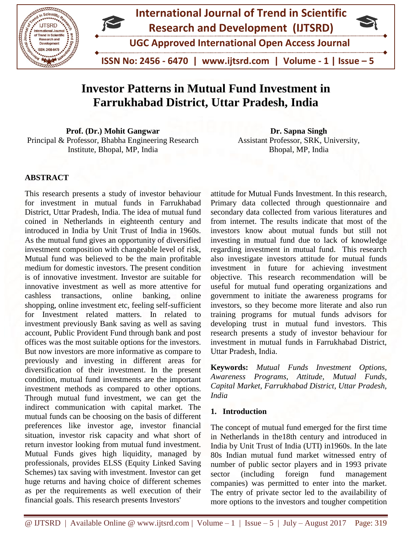

# **Investor Patterns in Mutual Fund Investment in Farrukhabad District, Uttar Pradesh, India**

**Prof. (Dr.) Mohit Gangwar** Principal & Professor, Bhabha Engineering Research Institute, Bhopal, MP, India

**Dr. Sapna Singh**  Assistant Professor, SRK, University, Bhopal, MP, India

# **ABSTRACT**

This research presents a study of investor behaviour for investment in mutual funds in Farrukhabad District, Uttar Pradesh, India. The idea of mutual fund coined in Netherlands in eighteenth century and introduced in India by Unit Trust of India in 1960s. As the mutual fund gives an opportunity of diversified investment composition with changeable level of risk, Mutual fund was believed to be the main profitable medium for domestic investors. The present condition is of innovative investment. Investor are suitable for innovative investment as well as more attentive for cashless transactions, online banking, online shopping, online investment etc, feeling self-sufficient for Investment related matters. In related to investment previously Bank saving as well as saving account, Public Provident Fund through bank and post offices was the most suitable options for the investors. But now investors are more informative as compare to previously and investing in different areas for diversification of their investment. In the present condition, mutual fund investments are the important investment methods as compared to other options. Through mutual fund investment, we can get the indirect communication with capital market. The mutual funds can be choosing on the basis of different preferences like investor age, investor financial situation, investor risk capacity and what short of return investor looking from mutual fund investment. Mutual Funds gives high liquidity, managed by professionals, provides ELSS (Equity Linked Saving Schemes) tax saving with investment. Investor can get huge returns and having choice of different schemes as per the requirements as well execution of their financial goals. This research presents Investors'

attitude for Mutual Funds Investment. In this research, Primary data collected through questionnaire and secondary data collected from various literatures and from internet. The results indicate that most of the investors know about mutual funds but still not investing in mutual fund due to lack of knowledge regarding investment in mutual fund. This research also investigate investors attitude for mutual funds investment in future for achieving investment objective. This research recommendation will be useful for mutual fund operating organizations and government to initiate the awareness programs for investors, so they become more literate and also run training programs for mutual funds advisors for developing trust in mutual fund investors. This research presents a study of investor behaviour for investment in mutual funds in Farrukhabad District, Uttar Pradesh, India.

**Keywords:** *Mutual Funds Investment Options, Awareness Programs, Attitude, Mutual Funds, Capital Market, Farrukhabad District, Uttar Pradesh, India*

#### **1. Introduction**

The concept of mutual fund emerged for the first time in Netherlands in the18th century and introduced in India by Unit Trust of India (UTI) in1960s. In the late 80s Indian mutual fund market witnessed entry of number of public sector players and in 1993 private sector (including foreign fund management companies) was permitted to enter into the market. The entry of private sector led to the availability of more options to the investors and tougher competition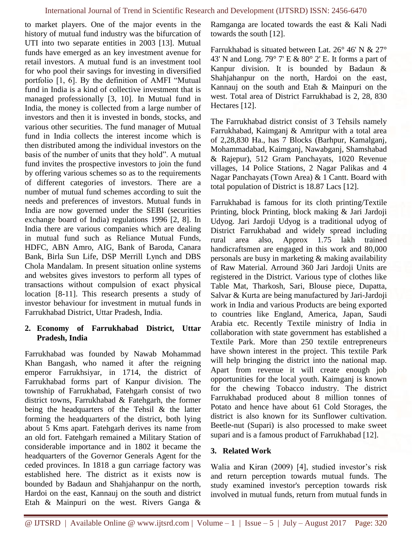to market players. One of the major events in the history of mutual fund industry was the bifurcation of UTI into two separate entities in 2003 [13]. Mutual funds have emerged as an key investment avenue for retail investors. A mutual fund is an investment tool for who pool their savings for investing in diversified portfolio [1, 6]. By the definition of AMFI "Mutual fund in India is a kind of collective investment that is managed professionally [3, 10]. In Mutual fund in India, the money is collected from a large number of investors and then it is invested in bonds, stocks, and various other securities. The fund manager of Mutual fund in India collects the interest income which is then distributed among the individual investors on the basis of the number of units that they hold". A mutual fund invites the prospective investors to join the fund by offering various schemes so as to the requirements of different categories of investors. There are a number of mutual fund schemes according to suit the needs and preferences of investors. Mutual funds in India are now governed under the SEBI (securities exchange board of India) regulations 1996 [2, 8]. In India there are various companies which are dealing in mutual fund such as Reliance Mutual Funds, HDFC, ABN Amro, AIG, Bank of Baroda, Canara Bank, Birla Sun Life, DSP Merrill Lynch and DBS Chola Mandalam. In present situation online systems and websites gives investors to perform all types of transactions without compulsion of exact physical location [8-11]. This research presents a study of investor behaviour for investment in mutual funds in Farrukhabad District, Uttar Pradesh, India.

## **2. Economy of Farrukhabad District, Uttar Pradesh, India**

Farrukhabad was founded by Nawab Mohammad Khan Bangash, who named it after the reigning emperor Farrukhsiyar, in 1714, the district of Farrukhabad forms part of Kanpur division. The township of Farrukhabad, Fatehgarh consist of two district towns, Farrukhabad & Fatehgarh, the former being the headquarters of the Tehsil & the latter forming the headquarters of the district, both lying about 5 Kms apart. Fatehgarh derives its name from an old fort. Fatehgarh remained a Military Station of considerable importance and in 1802 it became the headquarters of the Governor Generals Agent for the ceded provinces. In 1818 a gun carriage factory was established here. The district as it exists now is bounded by Badaun and Shahjahanpur on the north, Hardoi on the east, Kannauj on the south and district Etah & Mainpuri on the west. Rivers Ganga &

Ramganga are located towards the east & Kali Nadi towards the south [12].

Farrukhabad is situated between Lat. 26° 46' N & 27° 43' N and Long. 79° 7' E & 80° 2' E. It forms a part of Kanpur division. It is bounded by Badaun & Shahjahanpur on the north, Hardoi on the east, Kannauj on the south and Etah & Mainpuri on the west. Total area of District Farrukhabad is 2, 28, 830 Hectares [12].

The Farrukhabad district consist of 3 Tehsils namely Farrukhabad, Kaimganj & Amritpur with a total area of 2,28,830 Ha., has 7 Blocks (Barhpur, Kamalganj, Mohammadabad, Kaimganj, Nawabganj, Shamshabad & Rajepur), 512 Gram Panchayats, 1020 Revenue villages, 14 Police Stations, 2 Nagar Palikas and 4 Nagar Panchayats (Town Area) & 1 Cantt. Board with total population of District is 18.87 Lacs [12].

Farrukhabad is famous for its cloth printing/Textile Printing, block Printing, block making & Jari Jardoji Udyog. Jari Jardoji Udyog is a traditional udyog of District Farrukhabad and widely spread including rural area also, Approx 1.75 lakh trained handicraftsmen are engaged in this work and 80,000 personals are busy in marketing & making availability of Raw Material. Arround 360 Jari Jardoji Units are registered in the District. Various type of clothes like Table Mat, Tharkosh, Sari, Blouse piece, Dupatta, Salvar & Kurta are being manufactured by Jari-Jardoji work in India and various Products are being exported to countries like England, America, Japan, Saudi Arabia etc. Recently Textile ministry of India in collaboration with state government has established a Textile Park. More than 250 textile entrepreneurs have shown interest in the project. This textile Park will help bringing the district into the national map. Apart from revenue it will create enough job opportunities for the local youth. Kaimganj is known for the chewing Tobacco industry. The district Farrukhabad produced about 8 million tonnes of Potato and hence have about 61 Cold Storages, the district is also known for its Sunflower cultivation. Beetle-nut (Supari) is also processed to make sweet supari and is a famous product of Farrukhabad [12].

# **3. Related Work**

Walia and Kiran (2009) [4], studied investor's risk and return perception towards mutual funds. The study examined investor's perception towards risk involved in mutual funds, return from mutual funds in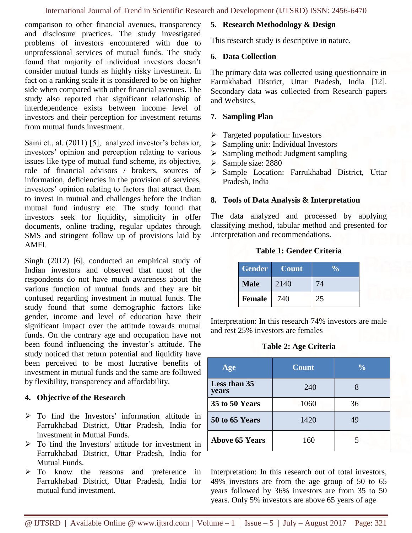comparison to other financial avenues, transparency and disclosure practices. The study investigated problems of investors encountered with due to unprofessional services of mutual funds. The study found that majority of individual investors doesn't consider mutual funds as highly risky investment. In fact on a ranking scale it is considered to be on higher side when compared with other financial avenues. The study also reported that significant relationship of interdependence exists between income level of investors and their perception for investment returns from mutual funds investment.

Saini et., al. (2011) [5], analyzed investor's behavior, investors' opinion and perception relating to various issues like type of mutual fund scheme, its objective, role of financial advisors / brokers, sources of information, deficiencies in the provision of services, investors' opinion relating to factors that attract them to invest in mutual and challenges before the Indian mutual fund industry etc. The study found that investors seek for liquidity, simplicity in offer documents, online trading, regular updates through SMS and stringent follow up of provisions laid by AMFI.

Singh (2012) [6], conducted an empirical study of Indian investors and observed that most of the respondents do not have much awareness about the various function of mutual funds and they are bit confused regarding investment in mutual funds. The study found that some demographic factors like gender, income and level of education have their significant impact over the attitude towards mutual funds. On the contrary age and occupation have not been found influencing the investor's attitude. The study noticed that return potential and liquidity have been perceived to be most lucrative benefits of investment in mutual funds and the same are followed by flexibility, transparency and affordability.

# **4. Objective of the Research**

- ➢ To find the Investors' information altitude in Farrukhabad District, Uttar Pradesh, India for investment in Mutual Funds.
- ➢ To find the Investors' attitude for investment in Farrukhabad District, Uttar Pradesh, India for Mutual Funds.
- ➢ To know the reasons and preference in Farrukhabad District, Uttar Pradesh, India for mutual fund investment.

#### **5. Research Methodology & Design**

This research study is descriptive in nature.

#### **6. Data Collection**

The primary data was collected using questionnaire in Farrukhabad District, Uttar Pradesh, India [12]. Secondary data was collected from Research papers and Websites.

#### **7. Sampling Plan**

- $\triangleright$  Targeted population: Investors
- ➢ Sampling unit: Individual Investors
- ➢ Sampling method: Judgment sampling
- ➢ Sample size: 2880
- ➢ Sample Location: Farrukhabad District, Uttar Pradesh, India

#### **8. Tools of Data Analysis & Interpretation**

The data analyzed and processed by applying classifying method, tabular method and presented for .interpretation and recommendations.

#### **Table 1: Gender Criteria**

| <b>Gender</b> | <b>Count</b> |    |
|---------------|--------------|----|
| <b>Male</b>   | 2140         | 74 |
| <b>Female</b> | 740          |    |

Interpretation: In this research 74% investors are male and rest 25% investors are females

#### **Table 2: Age Criteria**

| Age                   | <b>Count</b> | $\frac{0}{0}$ |
|-----------------------|--------------|---------------|
| Less than 35<br>years | 240          | 8             |
| 35 to 50 Years        | 1060         | 36            |
| 50 to 65 Years        | 1420         | 49            |
| <b>Above 65 Years</b> | 160          |               |

Interpretation: In this research out of total investors, 49% investors are from the age group of 50 to 65 years followed by 36% investors are from 35 to 50 years. Only 5% investors are above 65 years of age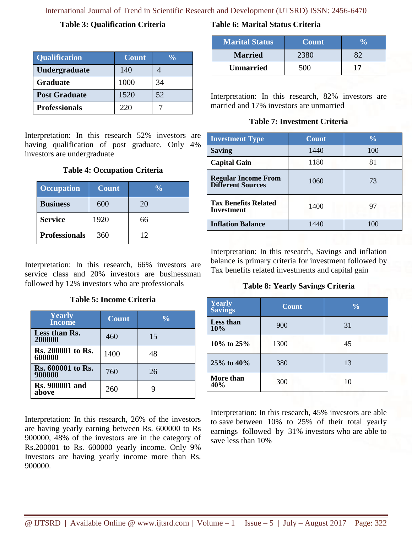International Journal of Trend in Scientific Research and Development (IJTSRD) ISSN: 2456-6470

#### **Table 3: Qualification Criteria**

| <b>Qualification</b> | <b>Count</b> | $\frac{0}{\alpha}$ |
|----------------------|--------------|--------------------|
| Undergraduate        | 140          |                    |
| <b>Graduate</b>      | 1000         | 34                 |
| <b>Post Graduate</b> | 1520         | 52                 |
| <b>Professionals</b> | 220          |                    |

Interpretation: In this research 52% investors are having qualification of post graduate. Only 4% investors are undergraduate

## **Table 4: Occupation Criteria**

| <b>Occupation</b>    | <b>Count</b> | $\frac{0}{\alpha}$ |
|----------------------|--------------|--------------------|
| <b>Business</b>      | 600          | 20                 |
| <b>Service</b>       | 1920         | 66                 |
| <b>Professionals</b> | 360          | 12                 |

Interpretation: In this research, 66% investors are service class and 20% investors are businessman followed by 12% investors who are professionals

**Table 5: Income Criteria**

| <b>Yearly</b><br><b>Income</b>     | <b>Count</b> | $\frac{0}{0}$ |
|------------------------------------|--------------|---------------|
| Less than Rs.<br>200000            | 460          | 15            |
| <b>Rs. 200001 to Rs.</b><br>600000 | 1400         | 48            |
| <b>Rs. 600001 to Rs.</b><br>900000 | 760          | 26            |
| <b>Rs. 900001 and</b><br>above     | 260          |               |

Interpretation: In this research, 26% of the investors are having yearly earning between Rs. 600000 to Rs 900000, 48% of the investors are in the category of Rs.200001 to Rs. 600000 yearly income. Only 9% Investors are having yearly income more than Rs. 900000.

# **Table 6: Marital Status Criteria**

| <b>Marital Status</b> | <b>Count</b> |    |
|-----------------------|--------------|----|
| <b>Married</b>        |              |    |
| <b>Unmarried</b>      | 50 N E       | 17 |

Interpretation: In this research, 82% investors are married and 17% investors are unmarried

# **Table 7: Investment Criteria**

| <b>Investment Type</b>                                 | <b>Count</b> | $\frac{0}{0}$ |
|--------------------------------------------------------|--------------|---------------|
| <b>Saving</b>                                          | 1440         | 100           |
| <b>Capital Gain</b>                                    | 1180         | 81            |
| <b>Regular Income From</b><br><b>Different Sources</b> | 1060         | 73            |
| <b>Tax Benefits Related</b><br>Investment              | 1400         | 97            |
| <b>Inflation Balance</b>                               | 1440         | 100           |

Interpretation: In this research, Savings and inflation balance is primary criteria for investment followed by Tax benefits related investments and capital gain

# **Table 8: Yearly Savings Criteria**

| Yearly<br>Savings | <b>Count</b> | $\frac{0}{0}$ |
|-------------------|--------------|---------------|
| Less than<br>10%  | 900          | 31            |
| 10% to 25%        | 1300         | 45            |
| 25% to 40%        | 380          | 13            |
| More than<br>40%  | 300          | 10            |

Interpretation: In this research, 45% investors are able to save between 10% to 25% of their total yearly earnings followed by 31% investors who are able to save less than 10%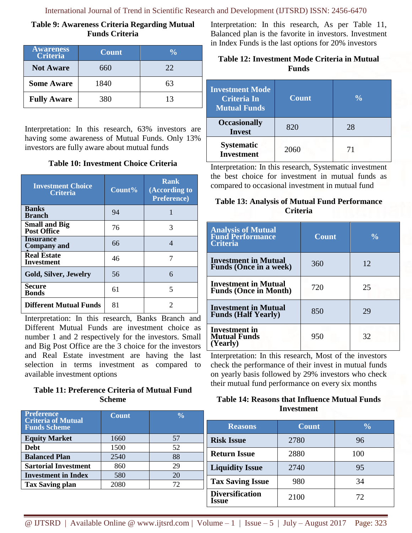# **Table 9: Awareness Criteria Regarding Mutual Funds Criteria**

| <b>Awareness</b><br><b>Criteria</b> | <b>Count</b> | $\frac{0}{0}$ |
|-------------------------------------|--------------|---------------|
| <b>Not Aware</b>                    | 660          | 22.           |
| <b>Some Aware</b>                   | 1840         | 63            |
| <b>Fully Aware</b>                  | 380          | 13            |

Interpretation: In this research, 63% investors are having some awareness of Mutual Funds. Only 13% investors are fully aware about mutual funds

| <b>Table 10: Investment Choice Criteria</b> |  |  |
|---------------------------------------------|--|--|
|---------------------------------------------|--|--|

| <b>Investment Choice</b><br><b>Criteria</b> | Count% | Rank<br>(According to<br><b>Preference</b> ) |
|---------------------------------------------|--------|----------------------------------------------|
| <b>Banks</b><br><b>Branch</b>               | 94     |                                              |
| <b>Small and Big</b><br><b>Post Office</b>  | 76     | 3                                            |
| <b>Insurance</b><br><b>Company</b> and      | 66     | 4                                            |
| <b>Real Estate</b><br><b>Investment</b>     | 46     |                                              |
| <b>Gold, Silver, Jewelry</b>                | 56     | 6                                            |
| Secure<br><b>Bonds</b>                      | 61     | 5                                            |
| <b>Different Mutual Funds</b>               | 81     |                                              |

Interpretation: In this research, Banks Branch and Different Mutual Funds are investment choice as number 1 and 2 respectively for the investors. Small and Big Post Office are the 3 choice for the investors and Real Estate investment are having the last selection in terms investment as compared to available investment options

# **Table 11: Preference Criteria of Mutual Fund Scheme**

| <b>Preference</b><br><b>Criteria of Mutual</b><br><b>Funds Scheme</b> | <b>Count</b> | $\frac{0}{0}$ |
|-----------------------------------------------------------------------|--------------|---------------|
| <b>Equity Market</b>                                                  | 1660         | 57            |
| <b>Debt</b>                                                           | 1500         | 52            |
| <b>Balanced Plan</b>                                                  | 2540         | 88            |
| <b>Sartorial Investment</b>                                           | 860          | 29            |
| <b>Investment in Index</b>                                            | 580          | 20            |
| <b>Tax Saving plan</b>                                                | 2080         | 72            |
|                                                                       |              |               |

Interpretation: In this research, As per Table 11, Balanced plan is the favorite in investors. Investment in Index Funds is the last options for 20% investors

# **Table 12: Investment Mode Criteria in Mutual Funds**

| <b>Investment Mode</b><br><b>Criteria In</b><br><b>Mutual Funds</b> | <b>Count</b> | $\frac{0}{0}$ |
|---------------------------------------------------------------------|--------------|---------------|
| <b>Occasionally</b><br><b>Invest</b>                                | 820          | 28            |
| <b>Systematic</b><br><b>Investment</b>                              | 2060         | 71            |

Interpretation: In this research, Systematic investment the best choice for investment in mutual funds as compared to occasional investment in mutual fund

# **Table 13: Analysis of Mutual Fund Performance Criteria**

| <b>Analysis of Mutual</b><br><b>Fund Performance</b><br><b>Criteria</b> | <b>Count</b> | $\frac{0}{0}$ |
|-------------------------------------------------------------------------|--------------|---------------|
| <b>Investment in Mutual</b><br><b>Funds (Once in a week)</b>            | 360          | 12            |
| <b>Investment in Mutual</b><br><b>Funds (Once in Month)</b>             | 720          | 25            |
| <b>Investment in Mutual</b><br><b>Funds (Half Yearly)</b>               | 850          | 29            |
| Investment in<br><b>Mutual Funds</b><br>(Yearly)                        | 950          | 32            |

Interpretation: In this research, Most of the investors check the performance of their invest in mutual funds on yearly basis followed by 29% investors who check their mutual fund performance on every six months

## **Table 14: Reasons that Influence Mutual Funds Investment**

| <b>Reasons</b>                  | <b>Count</b> | $\frac{6}{9}$ |
|---------------------------------|--------------|---------------|
| <b>Risk Issue</b>               | 2780         | 96            |
| <b>Return Issue</b>             | 2880         | 100           |
| <b>Liquidity Issue</b>          | 2740         | 95            |
| <b>Tax Saving Issue</b>         | 980          | 34            |
| <b>Diversification</b><br>Issue | 2100         | 72            |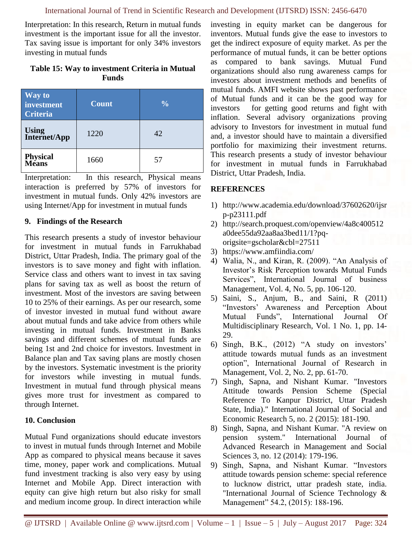Interpretation: In this research, Return in mutual funds investment is the important issue for all the investor. Tax saving issue is important for only 34% investors investing in mutual funds

## **Table 15: Way to investment Criteria in Mutual Funds**

| <b>Way to</b><br>investment<br><b>Criteria</b> | <b>Count</b> | $\sqrt[0]{\cdot}$ |
|------------------------------------------------|--------------|-------------------|
| Using<br>Internet/App                          | 1220         | 42                |
| <b>Physical</b><br>Means                       | 1660         | 57                |

Interpretation: In this research, Physical means interaction is preferred by 57% of investors for investment in mutual funds. Only 42% investors are using Internet/App for investment in mutual funds

#### **9. Findings of the Research**

This research presents a study of investor behaviour for investment in mutual funds in Farrukhabad District, Uttar Pradesh, India. The primary goal of the investors is to save money and fight with inflation. Service class and others want to invest in tax saving plans for saving tax as well as boost the return of investment. Most of the investors are saving between 10 to 25% of their earnings. As per our research, some of investor invested in mutual fund without aware about mutual funds and take advice from others while investing in mutual funds. Investment in Banks savings and different schemes of mutual funds are being 1st and 2nd choice for investors. Investment in Balance plan and Tax saving plans are mostly chosen by the investors. Systematic investment is the priority for investors while investing in mutual funds. Investment in mutual fund through physical means gives more trust for investment as compared to through Internet.

#### **10. Conclusion**

Mutual Fund organizations should educate investors to invest in mutual funds through Internet and Mobile App as compared to physical means because it saves time, money, paper work and complications. Mutual fund investment tracking is also very easy by using Internet and Mobile App. Direct interaction with equity can give high return but also risky for small and medium income group. In direct interaction while investing in equity market can be dangerous for inventors. Mutual funds give the ease to investors to get the indirect exposure of equity market. As per the performance of mutual funds, it can be better options as compared to bank savings. Mutual Fund organizations should also rung awareness camps for investors about investment methods and benefits of mutual funds. AMFI website shows past performance of Mutual funds and it can be the good way for investors for getting good returns and fight with inflation. Several advisory organizations proving advisory to Investors for investment in mutual fund and, a investor should have to maintain a diversified portfolio for maximizing their investment returns. This research presents a study of investor behaviour for investment in mutual funds in Farrukhabad District, Uttar Pradesh, India.

## **REFERENCES**

- 1) http://www.academia.edu/download/37602620/ijsr p-p23111.pdf
- 2) http://search.proquest.com/openview/4a8c400512 a0dee55da92aa8aa3bed11/1?pqorigsite=gscholar&cbl=27511
- 3) https://www.amfiindia.com/
- 4) Walia, N., and Kiran, R. (2009). "An Analysis of Investor's Risk Perception towards Mutual Funds Services", International Journal of business Management, Vol. 4, No. 5, pp. 106-120.
- 5) Saini, S., Anjum, B., and Saini, R (2011) "Investors' Awareness and Perception About Mutual Funds", International Journal Of Multidisciplinary Research, Vol. 1 No. 1, pp. 14- 29.
- 6) Singh, B.K., (2012) "A study on investors' attitude towards mutual funds as an investment option", International Journal of Research in Management, Vol. 2, No. 2, pp. 61-70.
- 7) Singh, Sapna, and Nishant Kumar. "Investors Attitude towards Pension Scheme (Special Reference To Kanpur District, Uttar Pradesh State, India)." International Journal of Social and Economic Research 5, no. 2 (2015): 181-190.
- 8) Singh, Sapna, and Nishant Kumar. "A review on pension system." International Journal of Advanced Research in Management and Social Sciences 3, no. 12 (2014): 179-196.
- 9) Singh, Sapna, and Nishant Kumar. "Investors attitude towards pension scheme: special reference to lucknow district, uttar pradesh state, india. "International Journal of Science Technology & Management" 54.2, (2015): 188-196.